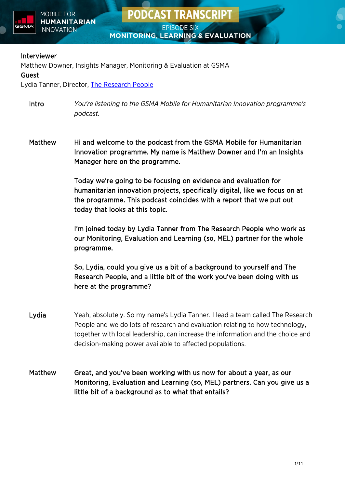

**EPISODE SIX MONITORING, LEARNING & EVALUATION** 

#### Interviewer

Matthew Downer, Insights Manager, Monitoring & Evaluation at GSMA

#### Guest

Lydia Tanner, Director, [The Research People](https://www.theresearchpeople.org/)

Intro *You're listening to the GSMA Mobile for Humanitarian Innovation programme's podcast.*

Matthew Hi and welcome to the podcast from the GSMA Mobile for Humanitarian Innovation programme. My name is Matthew Downer and I'm an Insights Manager here on the programme.

> Today we're going to be focusing on evidence and evaluation for humanitarian innovation projects, specifically digital, like we focus on at the programme. This podcast coincides with a report that we put out today that looks at this topic.

I'm joined today by Lydia Tanner from The Research People who work as our Monitoring, Evaluation and Learning (so, MEL) partner for the whole programme.

So, Lydia, could you give us a bit of a background to yourself and The Research People, and a little bit of the work you've been doing with us here at the programme?

- Lydia Yeah, absolutely. So my name's Lydia Tanner. I lead a team called The Research People and we do lots of research and evaluation relating to how technology, together with local leadership, can increase the information and the choice and decision-making power available to affected populations.
- Matthew Great, and you've been working with us now for about a year, as our Monitoring, Evaluation and Learning (so, MEL) partners. Can you give us a little bit of a background as to what that entails?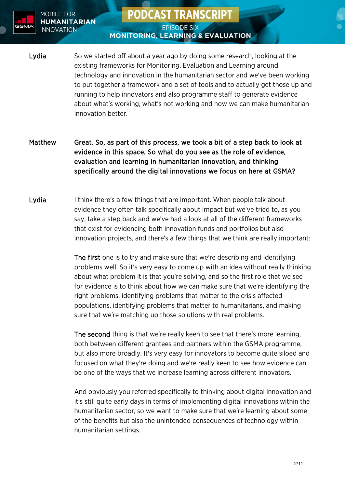

**EPISODE SIX MONITORING, LEARNING & EVALUATION** 

- Lydia So we started off about a year ago by doing some research, looking at the existing frameworks for Monitoring, Evaluation and Learning around technology and innovation in the humanitarian sector and we've been working to put together a framework and a set of tools and to actually get those up and running to help innovators and also programme staff to generate evidence about what's working, what's not working and how we can make humanitarian innovation better.
- Matthew Great. So, as part of this process, we took a bit of a step back to look at evidence in this space. So what do you see as the role of evidence, evaluation and learning in humanitarian innovation, and thinking specifically around the digital innovations we focus on here at GSMA?
- Lydia I think there's a few things that are important. When people talk about evidence they often talk specifically about impact but we've tried to, as you say, take a step back and we've had a look at all of the different frameworks that exist for evidencing both innovation funds and portfolios but also innovation projects, and there's a few things that we think are really important:

The first one is to try and make sure that we're describing and identifying problems well. So it's very easy to come up with an idea without really thinking about what problem it is that you're solving, and so the first role that we see for evidence is to think about how we can make sure that we're identifying the right problems, identifying problems that matter to the crisis affected populations, identifying problems that matter to humanitarians, and making sure that we're matching up those solutions with real problems.

The second thing is that we're really keen to see that there's more learning, both between different grantees and partners within the GSMA programme, but also more broadly. It's very easy for innovators to become quite siloed and focused on what they're doing and we're really keen to see how evidence can be one of the ways that we increase learning across different innovators.

And obviously you referred specifically to thinking about digital innovation and it's still quite early days in terms of implementing digital innovations within the humanitarian sector, so we want to make sure that we're learning about some of the benefits but also the unintended consequences of technology within humanitarian settings.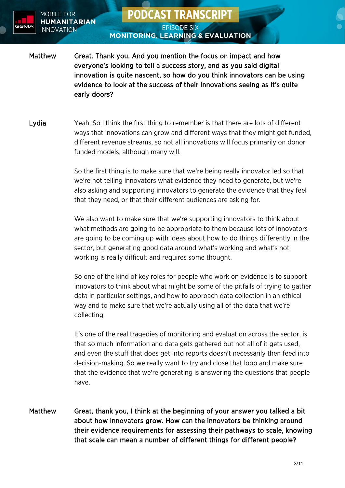

**EPISODE SIX MONITORING, LEARNING & EVALUATION** 

- Matthew Great. Thank you. And you mention the focus on impact and how everyone's looking to tell a success story, and as you said digital innovation is quite nascent, so how do you think innovators can be using evidence to look at the success of their innovations seeing as it's quite early doors?
- Lydia Yeah. So I think the first thing to remember is that there are lots of different ways that innovations can grow and different ways that they might get funded, different revenue streams, so not all innovations will focus primarily on donor funded models, although many will.

So the first thing is to make sure that we're being really innovator led so that we're not telling innovators what evidence they need to generate, but we're also asking and supporting innovators to generate the evidence that they feel that they need, or that their different audiences are asking for.

We also want to make sure that we're supporting innovators to think about what methods are going to be appropriate to them because lots of innovators are going to be coming up with ideas about how to do things differently in the sector, but generating good data around what's working and what's not working is really difficult and requires some thought.

So one of the kind of key roles for people who work on evidence is to support innovators to think about what might be some of the pitfalls of trying to gather data in particular settings, and how to approach data collection in an ethical way and to make sure that we're actually using all of the data that we're collecting.

It's one of the real tragedies of monitoring and evaluation across the sector, is that so much information and data gets gathered but not all of it gets used, and even the stuff that does get into reports doesn't necessarily then feed into decision-making. So we really want to try and close that loop and make sure that the evidence that we're generating is answering the questions that people have.

Matthew Great, thank you, I think at the beginning of your answer you talked a bit about how innovators grow. How can the innovators be thinking around their evidence requirements for assessing their pathways to scale, knowing that scale can mean a number of different things for different people?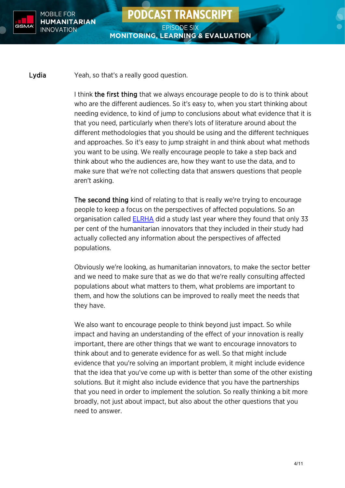

**EPISODE SIX MONITORING, LEARNING & EVALUATION** 

Lydia Yeah, so that's a really good question.

I think the first thing that we always encourage people to do is to think about who are the different audiences. So it's easy to, when you start thinking about needing evidence, to kind of jump to conclusions about what evidence that it is that you need, particularly when there's lots of literature around about the different methodologies that you should be using and the different techniques and approaches. So it's easy to jump straight in and think about what methods you want to be using. We really encourage people to take a step back and think about who the audiences are, how they want to use the data, and to make sure that we're not collecting data that answers questions that people aren't asking.

The second thing kind of relating to that is really we're trying to encourage people to keep a focus on the perspectives of affected populations. So an organisation called [ELRHA](https://www.elrha.org/) did a study last year where they found that only 33 per cent of the humanitarian innovators that they included in their study had actually collected any information about the perspectives of affected populations.

Obviously we're looking, as humanitarian innovators, to make the sector better and we need to make sure that as we do that we're really consulting affected populations about what matters to them, what problems are important to them, and how the solutions can be improved to really meet the needs that they have.

We also want to encourage people to think beyond just impact. So while impact and having an understanding of the effect of your innovation is really important, there are other things that we want to encourage innovators to think about and to generate evidence for as well. So that might include evidence that you're solving an important problem, it might include evidence that the idea that you've come up with is better than some of the other existing solutions. But it might also include evidence that you have the partnerships that you need in order to implement the solution. So really thinking a bit more broadly, not just about impact, but also about the other questions that you need to answer.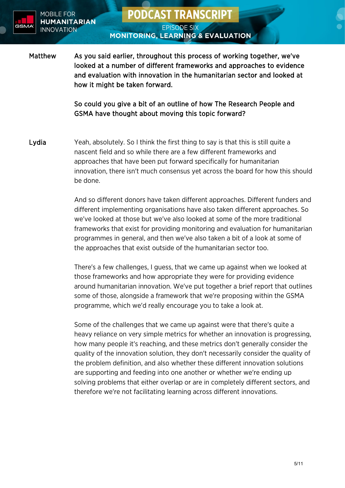

**EPISODE SIX MONITORING, LEARNING & EVALUATION** 

Matthew As you said earlier, throughout this process of working together, we've looked at a number of different frameworks and approaches to evidence and evaluation with innovation in the humanitarian sector and looked at how it might be taken forward.

> So could you give a bit of an outline of how The Research People and GSMA have thought about moving this topic forward?

Lydia Yeah, absolutely. So I think the first thing to say is that this is still quite a nascent field and so while there are a few different frameworks and approaches that have been put forward specifically for humanitarian innovation, there isn't much consensus yet across the board for how this should be done.

> And so different donors have taken different approaches. Different funders and different implementing organisations have also taken different approaches. So we've looked at those but we've also looked at some of the more traditional frameworks that exist for providing monitoring and evaluation for humanitarian programmes in general, and then we've also taken a bit of a look at some of the approaches that exist outside of the humanitarian sector too.

> There's a few challenges, I guess, that we came up against when we looked at those frameworks and how appropriate they were for providing evidence around humanitarian innovation. We've put together a brief report that outlines some of those, alongside a framework that we're proposing within the GSMA programme, which we'd really encourage you to take a look at.

> Some of the challenges that we came up against were that there's quite a heavy reliance on very simple metrics for whether an innovation is progressing, how many people it's reaching, and these metrics don't generally consider the quality of the innovation solution, they don't necessarily consider the quality of the problem definition, and also whether these different innovation solutions are supporting and feeding into one another or whether we're ending up solving problems that either overlap or are in completely different sectors, and therefore we're not facilitating learning across different innovations.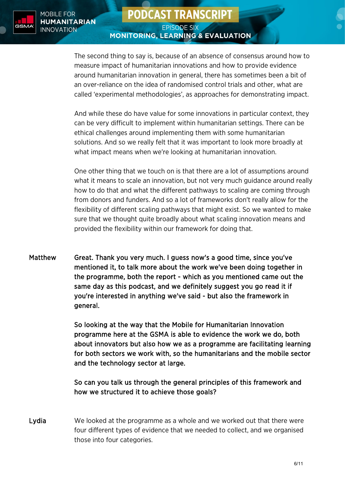

#### **EPISODE SIX MONITORING, LEARNING & EVALUATION**

The second thing to say is, because of an absence of consensus around how to measure impact of humanitarian innovations and how to provide evidence around humanitarian innovation in general, there has sometimes been a bit of an over-reliance on the idea of randomised control trials and other, what are called 'experimental methodologies', as approaches for demonstrating impact.

And while these do have value for some innovations in particular context, they can be very difficult to implement within humanitarian settings. There can be ethical challenges around implementing them with some humanitarian solutions. And so we really felt that it was important to look more broadly at what impact means when we're looking at humanitarian innovation.

One other thing that we touch on is that there are a lot of assumptions around what it means to scale an innovation, but not very much guidance around really how to do that and what the different pathways to scaling are coming through from donors and funders. And so a lot of frameworks don't really allow for the flexibility of different scaling pathways that might exist. So we wanted to make sure that we thought quite broadly about what scaling innovation means and provided the flexibility within our framework for doing that.

Matthew Great. Thank you very much. I guess now's a good time, since you've mentioned it, to talk more about the work we've been doing together in the programme, both the report - which as you mentioned came out the same day as this podcast, and we definitely suggest you go read it if you're interested in anything we've said - but also the framework in general.

> So looking at the way that the Mobile for Humanitarian Innovation programme here at the GSMA is able to evidence the work we do, both about innovators but also how we as a programme are facilitating learning for both sectors we work with, so the humanitarians and the mobile sector and the technology sector at large.

So can you talk us through the general principles of this framework and how we structured it to achieve those goals?

Lydia We looked at the programme as a whole and we worked out that there were four different types of evidence that we needed to collect, and we organised those into four categories.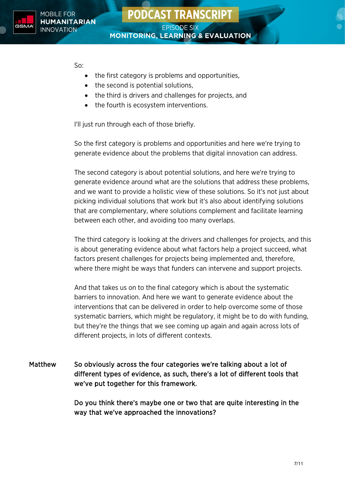

**MONITORING, LEARNING & EVALUATION** 

So:

- the first category is problems and opportunities,
- the second is potential solutions,
- the third is drivers and challenges for projects, and
- the fourth is ecosystem interventions.

I'll just run through each of those briefly.

So the first category is problems and opportunities and here we're trying to generate evidence about the problems that digital innovation can address.

The second category is about potential solutions, and here we're trying to generate evidence around what are the solutions that address these problems, and we want to provide a holistic view of these solutions. So it's not just about picking individual solutions that work but it's also about identifying solutions that are complementary, where solutions complement and facilitate learning between each other, and avoiding too many overlaps.

The third category is looking at the drivers and challenges for projects, and this is about generating evidence about what factors help a project succeed, what factors present challenges for projects being implemented and, therefore, where there might be ways that funders can intervene and support projects.

And that takes us on to the final category which is about the systematic barriers to innovation. And here we want to generate evidence about the interventions that can be delivered in order to help overcome some of those systematic barriers, which might be regulatory, it might be to do with funding, but they're the things that we see coming up again and again across lots of different projects, in lots of different contexts.

Matthew So obviously across the four categories we're talking about a lot of different types of evidence, as such, there's a lot of different tools that we've put together for this framework.

> Do you think there's maybe one or two that are quite interesting in the way that we've approached the innovations?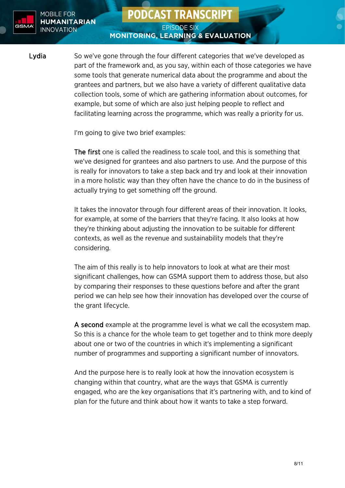

**EPISODE SIX MONITORING, LEARNING & EVALUATION** 

Lydia So we've gone through the four different categories that we've developed as part of the framework and, as you say, within each of those categories we have some tools that generate numerical data about the programme and about the grantees and partners, but we also have a variety of different qualitative data collection tools, some of which are gathering information about outcomes, for example, but some of which are also just helping people to reflect and facilitating learning across the programme, which was really a priority for us.

I'm going to give two brief examples:

The first one is called the readiness to scale tool, and this is something that we've designed for grantees and also partners to use. And the purpose of this is really for innovators to take a step back and try and look at their innovation in a more holistic way than they often have the chance to do in the business of actually trying to get something off the ground.

It takes the innovator through four different areas of their innovation. It looks, for example, at some of the barriers that they're facing. It also looks at how they're thinking about adjusting the innovation to be suitable for different contexts, as well as the revenue and sustainability models that they're considering.

The aim of this really is to help innovators to look at what are their most significant challenges, how can GSMA support them to address those, but also by comparing their responses to these questions before and after the grant period we can help see how their innovation has developed over the course of the grant lifecycle.

A second example at the programme level is what we call the ecosystem map. So this is a chance for the whole team to get together and to think more deeply about one or two of the countries in which it's implementing a significant number of programmes and supporting a significant number of innovators.

And the purpose here is to really look at how the innovation ecosystem is changing within that country, what are the ways that GSMA is currently engaged, who are the key organisations that it's partnering with, and to kind of plan for the future and think about how it wants to take a step forward.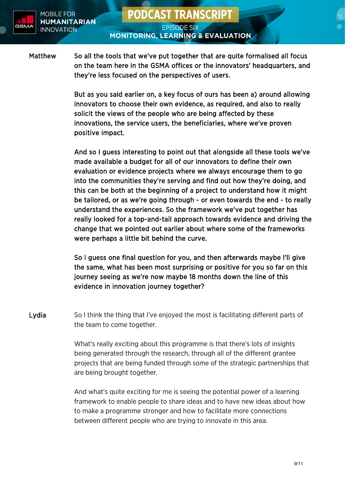

#### **EPISODE SIX MONITORING, LEARNING & EVALUATION**

Matthew So all the tools that we've put together that are quite formalised all focus on the team here in the GSMA offices or the innovators' headquarters, and they're less focused on the perspectives of users.

> But as you said earlier on, a key focus of ours has been a) around allowing innovators to choose their own evidence, as required, and also to really solicit the views of the people who are being affected by these innovations, the service users, the beneficiaries, where we've proven positive impact.

> And so I guess interesting to point out that alongside all these tools we've made available a budget for all of our innovators to define their own evaluation or evidence projects where we always encourage them to go into the communities they're serving and find out how they're doing, and this can be both at the beginning of a project to understand how it might be tailored, or as we're going through - or even towards the end - to really understand the experiences. So the framework we've put together has really looked for a top-and-tail approach towards evidence and driving the change that we pointed out earlier about where some of the frameworks were perhaps a little bit behind the curve.

So I guess one final question for you, and then afterwards maybe I'll give the same, what has been most surprising or positive for you so far on this journey seeing as we're now maybe 18 months down the line of this evidence in innovation journey together?

Lydia So I think the thing that I've enjoyed the most is facilitating different parts of the team to come together.

> What's really exciting about this programme is that there's lots of insights being generated through the research, through all of the different grantee projects that are being funded through some of the strategic partnerships that are being brought together.

And what's quite exciting for me is seeing the potential power of a learning framework to enable people to share ideas and to have new ideas about how to make a programme stronger and how to facilitate more connections between different people who are trying to innovate in this area.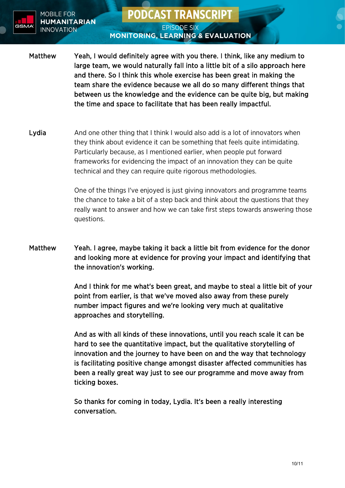

**EPISODE SIX MONITORING, LEARNING & EVALUATION** 

- Matthew Yeah, I would definitely agree with you there. I think, like any medium to large team, we would naturally fall into a little bit of a silo approach here and there. So I think this whole exercise has been great in making the team share the evidence because we all do so many different things that between us the knowledge and the evidence can be quite big, but making the time and space to facilitate that has been really impactful.
- Lydia And one other thing that I think I would also add is a lot of innovators when they think about evidence it can be something that feels quite intimidating. Particularly because, as I mentioned earlier, when people put forward frameworks for evidencing the impact of an innovation they can be quite technical and they can require quite rigorous methodologies.

One of the things I've enjoyed is just giving innovators and programme teams the chance to take a bit of a step back and think about the questions that they really want to answer and how we can take first steps towards answering those questions.

Matthew Yeah. I agree, maybe taking it back a little bit from evidence for the donor and looking more at evidence for proving your impact and identifying that the innovation's working.

> And I think for me what's been great, and maybe to steal a little bit of your point from earlier, is that we've moved also away from these purely number impact figures and we're looking very much at qualitative approaches and storytelling.

And as with all kinds of these innovations, until you reach scale it can be hard to see the quantitative impact, but the qualitative storytelling of innovation and the journey to have been on and the way that technology is facilitating positive change amongst disaster affected communities has been a really great way just to see our programme and move away from ticking boxes.

So thanks for coming in today, Lydia. It's been a really interesting conversation.